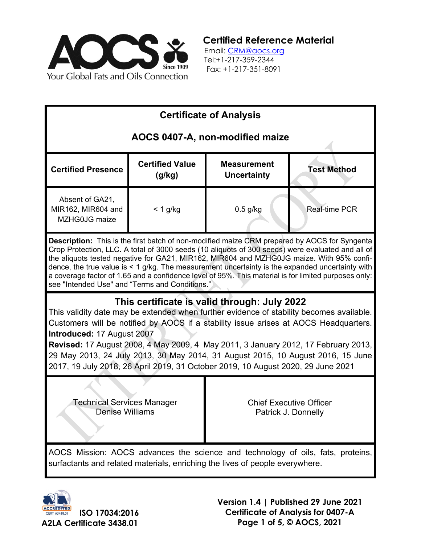

**Certified Reference Material**

 Email: [CRM@aocs.org](mailto:CRM@aocs.org) Tel:+1-217-359-2344 Fax: +1-217-351-8091

| <b>Certificate of Analysis</b>                                                                                                                                                                                                                                                                                                                                                                                                                                                                                                                                        |                                  |                                                       |                      |  |
|-----------------------------------------------------------------------------------------------------------------------------------------------------------------------------------------------------------------------------------------------------------------------------------------------------------------------------------------------------------------------------------------------------------------------------------------------------------------------------------------------------------------------------------------------------------------------|----------------------------------|-------------------------------------------------------|----------------------|--|
| AOCS 0407-A, non-modified maize                                                                                                                                                                                                                                                                                                                                                                                                                                                                                                                                       |                                  |                                                       |                      |  |
| <b>Certified Presence</b>                                                                                                                                                                                                                                                                                                                                                                                                                                                                                                                                             | <b>Certified Value</b><br>(g/kg) | <b>Measurement</b><br><b>Uncertainty</b>              | <b>Test Method</b>   |  |
| Absent of GA21,<br>MIR162, MIR604 and<br>MZHG0JG maize                                                                                                                                                                                                                                                                                                                                                                                                                                                                                                                | $< 1$ g/kg                       | $0.5$ g/kg                                            | <b>Real-time PCR</b> |  |
| <b>Description:</b> This is the first batch of non-modified maize CRM prepared by AOCS for Syngenta<br>Crop Protection, LLC. A total of 3000 seeds (10 aliquots of 300 seeds) were evaluated and all of<br>the aliquots tested negative for GA21, MIR162, MIR604 and MZHG0JG maize. With 95% confi-<br>dence, the true value is $\leq 1$ g/kg. The measurement uncertainty is the expanded uncertainty with<br>a coverage factor of 1.65 and a confidence level of 95%. This material is for limited purposes only:<br>see "Intended Use" and "Terms and Conditions." |                                  |                                                       |                      |  |
| This certificate is valid through: July 2022<br>This validity date may be extended when further evidence of stability becomes available.<br>Customers will be notified by AOCS if a stability issue arises at AOCS Headquarters.<br>Introduced: 17 August 2007<br>Revised: 17 August 2008, 4 May 2009, 4 May 2011, 3 January 2012, 17 February 2013,<br>29 May 2013, 24 July 2013, 30 May 2014, 31 August 2015, 10 August 2016, 15 June<br>2017, 19 July 2018, 26 April 2019, 31 October 2019, 10 August 2020, 29 June 2021                                           |                                  |                                                       |                      |  |
| Technical Services Manager<br>Denise Williams                                                                                                                                                                                                                                                                                                                                                                                                                                                                                                                         |                                  | <b>Chief Executive Officer</b><br>Patrick J. Donnelly |                      |  |
| AOCS Mission: AOCS advances the science and technology of oils, fats, proteins,<br>surfactants and related materials, enriching the lives of people everywhere.                                                                                                                                                                                                                                                                                                                                                                                                       |                                  |                                                       |                      |  |



**Version 1.4 | Published 29 June 2021 Certificate of Analysis for 0407-A Page 1 of 5, © AOCS, 2021**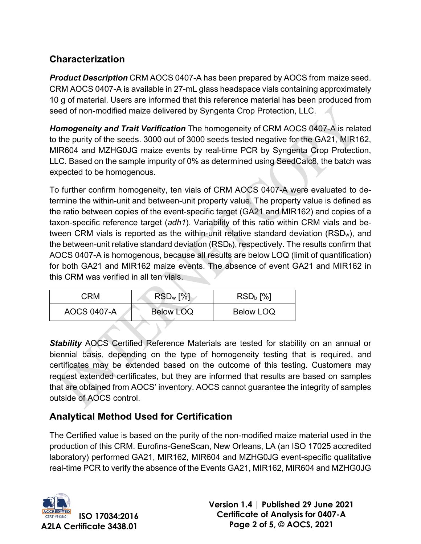# **Characterization**

*Product Description* CRM AOCS 0407-A has been prepared by AOCS from maize seed. CRM AOCS 0407-A is available in 27-mL glass headspace vials containing approximately 10 g of material. Users are informed that this reference material has been produced from seed of non-modified maize delivered by Syngenta Crop Protection, LLC.

*Homogeneity and Trait Verification* The homogeneity of CRM AOCS 0407-A is related to the purity of the seeds. 3000 out of 3000 seeds tested negative for the GA21, MIR162, MIR604 and MZHG0JG maize events by real-time PCR by Syngenta Crop Protection, LLC. Based on the sample impurity of 0% as determined using SeedCalc8, the batch was expected to be homogenous.

To further confirm homogeneity, ten vials of CRM AOCS 0407-A were evaluated to determine the within-unit and between-unit property value. The property value is defined as the ratio between copies of the event-specific target (GA21 and MIR162) and copies of a taxon-specific reference target (*adh1*). Variability of this ratio within CRM vials and between CRM vials is reported as the within-unit relative standard deviation (RSDw), and the between-unit relative standard deviation  $(RSD_b)$ , respectively. The results confirm that AOCS 0407-A is homogenous, because all results are below LOQ (limit of quantification) for both GA21 and MIR162 maize events. The absence of event GA21 and MIR162 in this CRM was verified in all ten vials.

| CRM                | $RSD_w$ [%]      | $RSDb$ [%] |
|--------------------|------------------|------------|
| <b>AOCS 0407-A</b> | <b>Below LOQ</b> | Below LOQ  |

*Stability* AOCS Certified Reference Materials are tested for stability on an annual or biennial basis, depending on the type of homogeneity testing that is required, and certificates may be extended based on the outcome of this testing. Customers may request extended certificates, but they are informed that results are based on samples that are obtained from AOCS' inventory. AOCS cannot guarantee the integrity of samples outside of AOCS control.

# **Analytical Method Used for Certification**

The Certified value is based on the purity of the non-modified maize material used in the production of this CRM. Eurofins-GeneScan, New Orleans, LA (an ISO 17025 accredited laboratory) performed GA21, MIR162, MIR604 and MZHG0JG event-specific qualitative real-time PCR to verify the absence of the Events GA21, MIR162, MIR604 and MZHG0JG

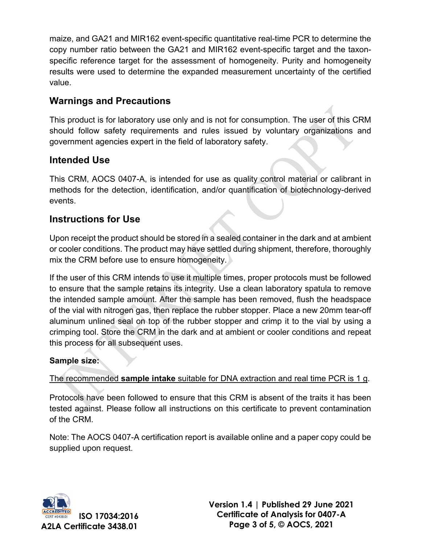maize, and GA21 and MIR162 event-specific quantitative real-time PCR to determine the copy number ratio between the GA21 and MIR162 event-specific target and the taxonspecific reference target for the assessment of homogeneity. Purity and homogeneity results were used to determine the expanded measurement uncertainty of the certified value.

## **Warnings and Precautions**

This product is for laboratory use only and is not for consumption. The user of this CRM should follow safety requirements and rules issued by voluntary organizations and government agencies expert in the field of laboratory safety.

### **Intended Use**

This CRM, AOCS 0407-A, is intended for use as quality control material or calibrant in methods for the detection, identification, and/or quantification of biotechnology-derived events.

#### **Instructions for Use**

Upon receipt the product should be stored in a sealed container in the dark and at ambient or cooler conditions. The product may have settled during shipment, therefore, thoroughly mix the CRM before use to ensure homogeneity.

If the user of this CRM intends to use it multiple times, proper protocols must be followed to ensure that the sample retains its integrity. Use a clean laboratory spatula to remove the intended sample amount. After the sample has been removed, flush the headspace of the vial with nitrogen gas, then replace the rubber stopper. Place a new 20mm tear-off aluminum unlined seal on top of the rubber stopper and crimp it to the vial by using a crimping tool. Store the CRM in the dark and at ambient or cooler conditions and repeat this process for all subsequent uses.

#### **Sample size:**

The recommended **sample intake** suitable for DNA extraction and real time PCR is 1 g.

Protocols have been followed to ensure that this CRM is absent of the traits it has been tested against. Please follow all instructions on this certificate to prevent contamination of the CRM.

Note: The AOCS 0407-A certification report is available online and a paper copy could be supplied upon request.



**Version 1.4 | Published 29 June 2021 Certificate of Analysis for 0407-A Page 3 of 5, © AOCS, 2021**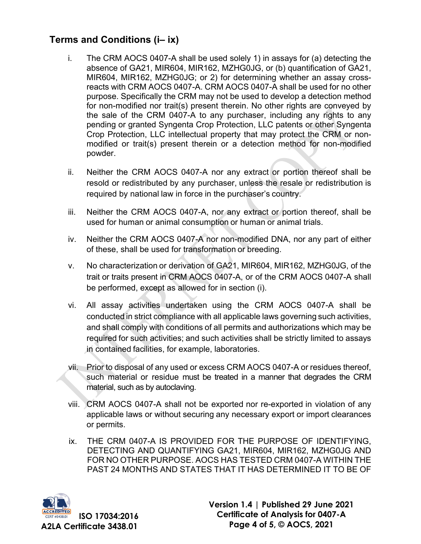### **Terms and Conditions (i– ix)**

- i. The CRM AOCS 0407-A shall be used solely 1) in assays for (a) detecting the absence of GA21, MIR604, MIR162, MZHG0JG, or (b) quantification of GA21, MIR604, MIR162, MZHG0JG; or 2) for determining whether an assay crossreacts with CRM AOCS 0407-A. CRM AOCS 0407-A shall be used for no other purpose. Specifically the CRM may not be used to develop a detection method for non-modified nor trait(s) present therein. No other rights are conveyed by the sale of the CRM 0407-A to any purchaser, including any rights to any pending or granted Syngenta Crop Protection, LLC patents or other Syngenta Crop Protection, LLC intellectual property that may protect the CRM or nonmodified or trait(s) present therein or a detection method for non-modified powder.
- ii. Neither the CRM AOCS 0407-A nor any extract or portion thereof shall be resold or redistributed by any purchaser, unless the resale or redistribution is required by national law in force in the purchaser's country.
- iii. Neither the CRM AOCS 0407-A, nor any extract or portion thereof, shall be used for human or animal consumption or human or animal trials.
- iv. Neither the CRM AOCS 0407-A nor non-modified DNA, nor any part of either of these, shall be used for transformation or breeding.
- v. No characterization or derivation of GA21, MIR604, MIR162, MZHG0JG, of the trait or traits present in CRM AOCS 0407-A, or of the CRM AOCS 0407-A shall be performed, except as allowed for in section (i).
- vi. All assay activities undertaken using the CRM AOCS 0407-A shall be conducted in strict compliance with all applicable laws governing such activities, and shall comply with conditions of all permits and authorizations which may be required for such activities; and such activities shall be strictly limited to assays in contained facilities, for example, laboratories.
- vii. Prior to disposal of any used or excess CRM AOCS 0407-A or residues thereof, such material or residue must be treated in a manner that degrades the CRM material, such as by autoclaving.
- viii. CRM AOCS 0407-A shall not be exported nor re-exported in violation of any applicable laws or without securing any necessary export or import clearances or permits.
- ix. THE CRM 0407-A IS PROVIDED FOR THE PURPOSE OF IDENTIFYING, DETECTING AND QUANTIFYING GA21, MIR604, MIR162, MZHG0JG AND FOR NO OTHER PURPOSE. AOCS HAS TESTED CRM 0407-A WITHIN THE PAST 24 MONTHS AND STATES THAT IT HAS DETERMINED IT TO BE OF